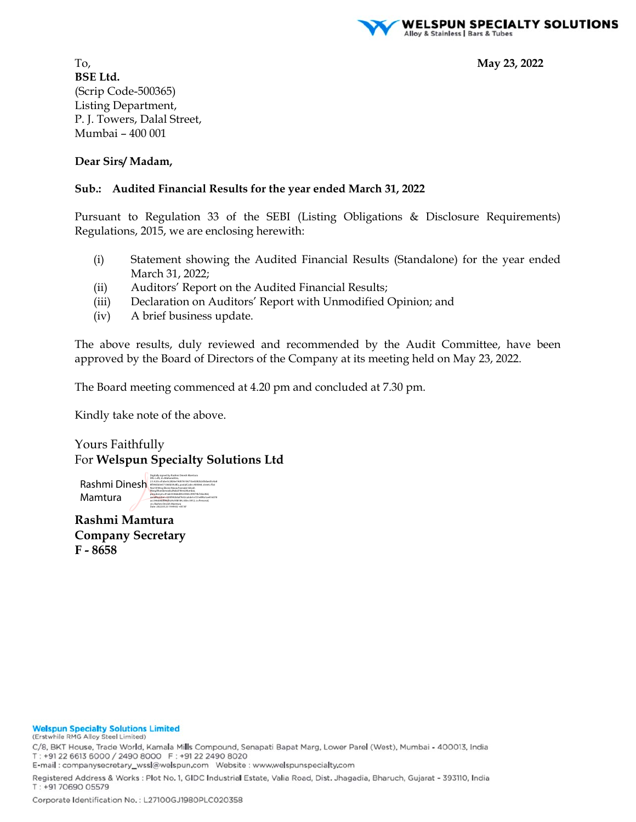

To, **May 23, 2022 BSE Ltd.**  (Scrip Code-500365) Listing Department, P. J. Towers, Dalal Street, Mumbai – 400 001

#### **Dear Sirs/ Madam,**

#### **Sub.: Audited Financial Results for the year ended March 31, 2022**

Pursuant to Regulation 33 of the SEBI (Listing Obligations & Disclosure Requirements) Regulations, 2015, we are enclosing herewith:

- (i) Statement showing the Audited Financial Results (Standalone) for the year ended March 31, 2022;
- (ii) Auditors' Report on the Audited Financial Results;
- (iii) Declaration on Auditors' Report with Unmodified Opinion; and
- (iv) A brief business update.

The above results, duly reviewed and recommended by the Audit Committee, have been approved by the Board of Directors of the Company at its meeting held on May 23, 2022.

The Board meeting commenced at 4.20 pm and concluded at 7.30 pm.

Kindly take note of the above.

Yours Faithfully For **Welspun Specialty Solutions Ltd** 

Rashmi Dinesh Mamtura

Digitally signed by Rashmi Dinesh Mamtura DN: c=IN, st=Maharashtra, 2.5.4.20=d1abe3c2826e19d07610671be0282b2d5daed5c4a8 8f5965b0e571360b54c8fa, postalCode=400064, street=Flat No2-B Wing Ekvira Niwas,Pannalal Ghosh Marg,Bhandarwada,Malad West,Mumbai, pseudonym=81ab3336b6d8523065c09074b7eba36d, serialNumber=595f092b0af7632ca5de1e721e8f4a1ae416078 acc346de6df89dfe24c958184, title=5412, o=Personal, cn=Rashmi Dinesh Mamtura Date: 2022.05.23 19:49:02 +05'30'

**Rashmi Mamtura Company Secretary F - 8658** 

#### **Welspun Specialty Solutions Limited**

(Erstwhile RMG Alloy Steel Limited)

C/8, BKT House, Trade World, Kamala Mills Compound, Senapati Bapat Marg, Lower Parel (West), Mumbai - 400013, India T: +91 22 6613 6000 / 2490 8000 F: +91 22 2490 8020

E-mail: companysecretary\_wssl@welspun.com Website: www.welspunspecialty.com

Registered Address & Works : Plot No. 1, GIDC Industrial Estate, Valia Road, Dist. Jhagadia, Bharuch, Gujarat - 393110, India T: +91 70690 05579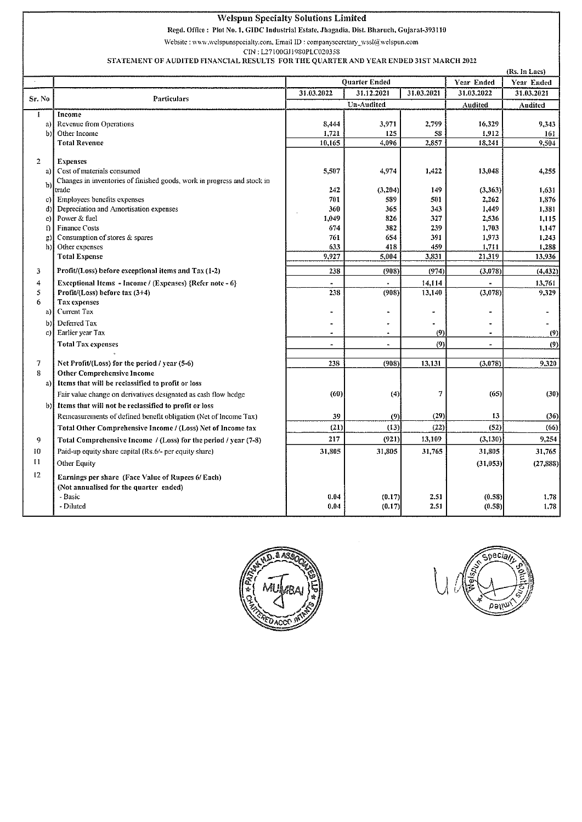#### Welspun Specialty Solutions Limited

Rcgd. Office : Plot No.1, GIDC Industrial Estate, Jhagadia, Dist. Bharuch, Gujarat~393110

Website: www.welspunspecialty.com, Email ID: companysecretary\_wssl@welspun.com

CIN: L27100GJ1980PLC020358

#### STATEMENT OF AUDITED FINANCIAL RESULTS FOR THE QUARTER AND YEAR ENDED 31ST MARCH 2022

|                | (Rs. In Lacs)                                                           |                      |                      |                      |                          |                 |
|----------------|-------------------------------------------------------------------------|----------------------|----------------------|----------------------|--------------------------|-----------------|
|                |                                                                         |                      | <b>Quarter Ended</b> |                      | Year Ended               | Year Ended      |
| Sr. No         | <b>Particulars</b>                                                      | 31.03.2022           | 31.12.2021           | 31.03.2021           | 31.03.2022               | 31.03.2021      |
|                |                                                                         | <b>Un-Audited</b>    |                      | Audited              | Audited                  |                 |
| Ŧ.             | Income                                                                  |                      |                      |                      |                          |                 |
| a)             | Revenue from Operations                                                 | 8,444                | 3.971                | 2.799                | 16,329                   | 9,343           |
| b)             | Other Income                                                            | 1,721                | 125                  | 58                   | 1,912                    | 161             |
|                | <b>Total Revenue</b>                                                    | 10,165               | 4,096                | 2,857                | 18,241                   | 9,504           |
| $\overline{2}$ | <b>Expenses</b>                                                         |                      |                      |                      |                          |                 |
| a)             | Cost of materials consumed                                              | 5,507                | 4.974                | 1,422                | 13,048                   | 4,255           |
|                | Changes in inventories of finished goods, work in progress and stock in |                      |                      |                      |                          |                 |
| b)             | trade                                                                   | 242                  | (3,204)              | 149                  | (3,363)                  | 1,631           |
| c)             | Employees benefits expenses                                             | 701                  | 589                  | 501                  | 2,262                    | 1,876           |
| d)             | Depreciation and Amortisation expenses                                  | 360                  | 365                  | 343                  | 1,449                    | 1,381           |
| e) l           | Power & fuel                                                            | 1,049                | 826                  | 327                  | 2,536                    | 1,115           |
| $\mathbf{f}$   | <b>Finance Costs</b>                                                    | 674                  | 382                  | 239                  | 1,703                    | 1,147           |
| g)             | Consumption of stores & spares                                          | 761                  | 654                  | 391                  | 1,973                    | 1,243           |
| h)             | Other expenses<br><b>Total Expense</b>                                  | 633<br>9,927         | 418<br>5,004         | 459<br>3.831         | 1,711<br>21,319          | 1,288<br>13,936 |
|                |                                                                         |                      |                      |                      |                          |                 |
| 3              | Profit/(Loss) before exceptional items and Tax (1-2)                    | 238                  | (908)                | (974)                | (3,078)                  | (4, 432)        |
| 4              | Exceptional Items - Income / (Expenses) {Refer note - 6}                |                      |                      | 14.114               |                          | 13,761          |
| 5              | Profit/(Loss) before tax (3+4)                                          | 238                  | (908)                | 13,140               | (3,078)                  | 9,329           |
| 6              | Tax expenses                                                            |                      |                      |                      |                          |                 |
| a)             | Current Tax                                                             |                      |                      | $\ddot{\phantom{a}}$ |                          |                 |
| b)             | Deferred Tax                                                            |                      |                      |                      |                          |                 |
| c)             | Earlier year Tax                                                        | $\ddot{\phantom{a}}$ | $\overline{a}$       | (9)                  | ۰                        | (9)             |
|                | <b>Total Tax expenses</b>                                               | $\blacksquare$       | $\blacksquare$       | (9)                  | $\overline{\phantom{0}}$ | (9)             |
| 7              | Net Profit/(Loss) for the period / year (5-6)                           | 238                  | (908)                | 13,131               | (3,078)                  | 9,320           |
| 8              | <b>Other Comprehensive Income</b>                                       |                      |                      |                      |                          |                 |
| a)             | Items that will be reclassified to profit or loss                       |                      |                      |                      |                          |                 |
|                | Fair value change on derivatives designated as cash flow hedge          | (60)                 | (4)                  | 7                    | (65)                     | (30)            |
| b)l            | Items that will not be reclassified to profit or loss                   |                      |                      |                      |                          |                 |
|                | Remeasurements of defined benefit obligation (Net of Income Tax)        | 39                   | (9)                  | (29)                 | 13                       | (36)            |
|                | Total Other Comprehensive Income / (Loss) Net of Income tax             | (21)                 | (13)                 | (22)                 | (52)                     | (66)            |
| 9              | Total Comprehensive Income / (Loss) for the period / year (7-8)         | 217                  | (921)                | 13,109               | (3, 1.30)                | 9.254           |
| 10             | Paid-up equity share capital (Rs.6/- per equity share)                  | 31,805               | 31.805               | 31.765               | 31,805                   | 31,765          |
| $\mathbf{1}$   |                                                                         |                      |                      |                      |                          |                 |
|                | Other Equity                                                            |                      |                      |                      | (31,053)                 | (27, 888)       |
| 12             | Earnings per share (Face Value of Rupees 6/Each)                        |                      |                      |                      |                          |                 |
|                | (Not annualised for the quarter ended)                                  |                      |                      |                      |                          |                 |
|                | - Basic                                                                 | 0.04                 | (0.17)               | 2.51                 | (0.58)                   | 1.78            |
|                | - Diluted                                                               | 0.04                 | (0.17)               | 2.51                 | (0.58)                   | 1.78            |



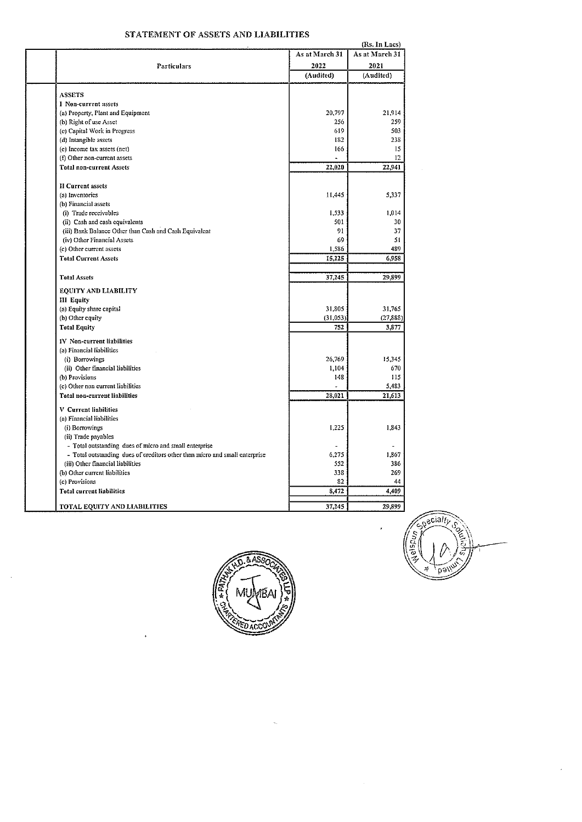# STATEMENT OF ASSETS AND LIABILITIES

|                                   | (Rs. In Lacs)                                                               |                |                |  |  |
|-----------------------------------|-----------------------------------------------------------------------------|----------------|----------------|--|--|
|                                   |                                                                             | As at March 31 | As at March 31 |  |  |
|                                   | Particulars                                                                 | 2022           | 2021           |  |  |
|                                   |                                                                             | (Audited)      | (Audited)      |  |  |
|                                   |                                                                             |                |                |  |  |
| <b>ASSETS</b>                     |                                                                             |                |                |  |  |
| I Non-current assets              |                                                                             |                |                |  |  |
|                                   | (a) Property, Plant and Equipment                                           | 20,797         | 21.914         |  |  |
| (b) Right of use Asset            |                                                                             | 256            | 259            |  |  |
|                                   | (c) Capital Work in Progress                                                | 619            | 503            |  |  |
| (d) Intangible assets             |                                                                             | 182            | 238            |  |  |
| (e) Income tax assets (net)       |                                                                             | 166            | 15             |  |  |
| (f) Other non-current assets      |                                                                             |                | 12             |  |  |
| <b>Total non-current Assets</b>   |                                                                             | 22,020         | 22,941         |  |  |
| <b>II Current assets</b>          |                                                                             |                |                |  |  |
| (a) Inventories                   |                                                                             | 11,445         | 5,337          |  |  |
| (b) Financial assets              |                                                                             |                |                |  |  |
| (i) Trade reccivables             |                                                                             | 1,533          | 1.014          |  |  |
|                                   | (ii) Cash and cash equivalents                                              | 501            | 30             |  |  |
|                                   | (iii) Bank Balance Other than Cash and Cash Equivalent                      | 91             | 37             |  |  |
|                                   | (iv) Other Financial Assets                                                 | 69             | 51             |  |  |
| (c) Other current assets          |                                                                             | 1,586          | 489            |  |  |
| <b>Total Current Assets</b>       |                                                                             | 15,225         | 6,958          |  |  |
|                                   |                                                                             |                |                |  |  |
| <b>Total Assets</b>               |                                                                             | 37,245         | 29,899         |  |  |
|                                   | EQUITY AND LIABILITY                                                        |                |                |  |  |
| III Equity                        |                                                                             |                |                |  |  |
| (a) Equity share capital          |                                                                             | 31,805         | 31,765         |  |  |
| (b) Other equity                  |                                                                             | (31,053)       | (27, 888)      |  |  |
| <b>Total Equity</b>               |                                                                             | 752            | 3,877          |  |  |
| <b>IV</b> Non-current liabilities |                                                                             |                |                |  |  |
| (a) Financial liabilities         |                                                                             |                |                |  |  |
| (i) Borrowings                    |                                                                             | 26,769         | 15,345         |  |  |
|                                   | (ii) Other financial liabilities                                            | 1,104          | 670            |  |  |
| (b) Provisions                    |                                                                             | 148            | 115            |  |  |
|                                   | (c) Other non current liabilities                                           |                | 5,483          |  |  |
|                                   | <b>Total non-current liabilities</b>                                        | 28,021         | 21,613         |  |  |
| <b>V</b> Current liabilities      |                                                                             |                |                |  |  |
| (a) Financial liabilities         |                                                                             |                |                |  |  |
| (i) Borrowings                    |                                                                             | 1,225          | 1,843          |  |  |
| (ii) Trade payables               |                                                                             |                |                |  |  |
|                                   | - Total outstanding dues of micro and small enterprise                      |                |                |  |  |
|                                   | - Total outstanding dues of creditors other than micro and small enterprise | 6,275          | 1,867          |  |  |
|                                   | (iii) Other financial liabilities                                           | 552            | 336            |  |  |
| (b) Other current liabilities     |                                                                             | 338            | 269            |  |  |
| (c) Provisions                    |                                                                             | 82             | 44             |  |  |
| <b>Total current liabilities</b>  |                                                                             | 8,472          | 4,409          |  |  |
|                                   |                                                                             |                |                |  |  |
|                                   | TOTAL EQUITY AND LIABILITIES                                                | 37,245         | 29,899         |  |  |



 $\bar{z}$ 

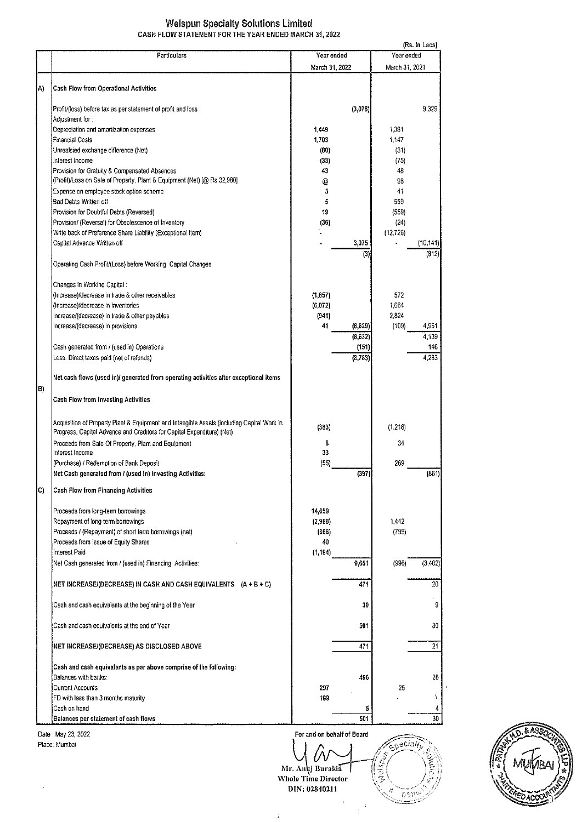#### Welspun Specialty Solutions Limited CASH FLOW STATEMENT FOR THE YEAR ENDED MARCH 31,2022

| Year ended<br>Particulars<br>Year ended<br>March 31, 2021<br>March 31, 2022<br>Cash Flow from Operational Activities<br>9,329<br>Profit/(loss) before tax as per statement of profit and loss :<br>(3,078)<br>Adjustment for :<br>Depreciation and amortization expenses<br>1,449<br>1,381<br>1,703<br>1 147<br>Financial Costs<br>Unrealsied exchange difference (Net)<br>(80)<br>(31)<br>Interest Income<br>(33)<br>(75)<br>Provision for Gratuity & Compensated Absences<br>43<br>48<br>(Profit)/Loss on Sale of Property, Plant & Equipment (Net) [@ Rs.32,980]<br>98<br>@<br>Expense on employee stock option scheme<br>41<br>5<br>Bad Debts Written off<br>5<br>559<br>19<br>Provision for Doubtful Debts (Reversed)<br>(559)<br>Provision/ (Reversal) for Obsolescence of Inventory<br>(36)<br>(24)<br>Write back of Preference Share Liability (Exceptional Item)<br>(12, 726)<br>Capital Advance Written off<br>3,075<br>(10, 141)<br>(812<br>(3)<br>Operating Cash Profit/(Loss) before Working Capital Changes<br>Changes in Working Capital:<br>572<br>(Increase)/decrease in trade & other receivables<br>(1,657)<br>(Increase)/decrease in inventories<br>(6, 072)<br>1,664<br>Increase/(decrease) in trade & other payables<br>(941)<br>2,824<br>Increase/(decrease) in provisions<br>41<br>(109)<br>4,951<br>(8,629)<br>(8.632)<br>4,139<br>(151)<br>146<br>Cash generated from / (used in) Operations<br>4,283<br>Less. Direct taxes paid (net of refunds)<br>(8,783)<br>Net cash flows (used in)/ generated from operating activities after exceptional items<br><b>Cash Flow from Investing Activities</b><br>Acquisition of Property Plant & Equipment and Intangible Assets (including Capital Work in<br>(383)<br>(1.218)<br>Progress, Capital Advance and Creditors for Capital Expenditure) (Net)<br>Proceeds from Sale Of Property, Plant and Equipment<br>34<br>8<br>33<br>Interest Income<br>(55)<br>(Purchase) / Redemption of Bank Deposit<br>269<br>(397)<br>(861)<br>Net Cash generated from / (used in) Investing Activities:<br><b>Cash Flow from Financing Activities</b><br>Proceeds from long-term borrowings<br>14,659<br>Repayment of long-term borrowings<br>1,442<br>(2,988)<br>Proceeds / (Repayment) of short term borrowings (net)<br>(799)<br>(866)<br>Proceeds from Issue of Equity Shares<br>40<br>Interest Paid<br>(1, 194)<br>Net Cash generated from / (used in) Financing Activities:<br>(996)<br>(3, 402)<br>9,651<br>20<br>NET INCREASE/(DECREASE) IN CASH AND CASH EQUIVALENTS (A + B + C)<br>471<br>9<br>Cash and cash equivalents at the beginning of the Year<br>30<br>30<br>Cash and cash equivalents at the end of Year<br>501<br>21<br>NET INCREASE/(DECREASE) AS DISCLOSED ABOVE<br>471<br>Cash and cash equivalents as per above comprise of the following:<br>Balances with banks:<br>496<br>26<br><b>Current Accounts</b><br>297<br>26<br>ţ<br>FD with less than 3 months maturity<br>199<br>Cash on hand<br>4<br>5<br>Balances per statement of cash flows<br>501<br>30 |    |  |  | (Rs. In Lacs) |
|-----------------------------------------------------------------------------------------------------------------------------------------------------------------------------------------------------------------------------------------------------------------------------------------------------------------------------------------------------------------------------------------------------------------------------------------------------------------------------------------------------------------------------------------------------------------------------------------------------------------------------------------------------------------------------------------------------------------------------------------------------------------------------------------------------------------------------------------------------------------------------------------------------------------------------------------------------------------------------------------------------------------------------------------------------------------------------------------------------------------------------------------------------------------------------------------------------------------------------------------------------------------------------------------------------------------------------------------------------------------------------------------------------------------------------------------------------------------------------------------------------------------------------------------------------------------------------------------------------------------------------------------------------------------------------------------------------------------------------------------------------------------------------------------------------------------------------------------------------------------------------------------------------------------------------------------------------------------------------------------------------------------------------------------------------------------------------------------------------------------------------------------------------------------------------------------------------------------------------------------------------------------------------------------------------------------------------------------------------------------------------------------------------------------------------------------------------------------------------------------------------------------------------------------------------------------------------------------------------------------------------------------------------------------------------------------------------------------------------------------------------------------------------------------------------------------------------------------------------------------------------------------------------------------------------------------------------------------------------------------------------------------------------------------|----|--|--|---------------|
|                                                                                                                                                                                                                                                                                                                                                                                                                                                                                                                                                                                                                                                                                                                                                                                                                                                                                                                                                                                                                                                                                                                                                                                                                                                                                                                                                                                                                                                                                                                                                                                                                                                                                                                                                                                                                                                                                                                                                                                                                                                                                                                                                                                                                                                                                                                                                                                                                                                                                                                                                                                                                                                                                                                                                                                                                                                                                                                                                                                                                                         |    |  |  |               |
|                                                                                                                                                                                                                                                                                                                                                                                                                                                                                                                                                                                                                                                                                                                                                                                                                                                                                                                                                                                                                                                                                                                                                                                                                                                                                                                                                                                                                                                                                                                                                                                                                                                                                                                                                                                                                                                                                                                                                                                                                                                                                                                                                                                                                                                                                                                                                                                                                                                                                                                                                                                                                                                                                                                                                                                                                                                                                                                                                                                                                                         |    |  |  |               |
|                                                                                                                                                                                                                                                                                                                                                                                                                                                                                                                                                                                                                                                                                                                                                                                                                                                                                                                                                                                                                                                                                                                                                                                                                                                                                                                                                                                                                                                                                                                                                                                                                                                                                                                                                                                                                                                                                                                                                                                                                                                                                                                                                                                                                                                                                                                                                                                                                                                                                                                                                                                                                                                                                                                                                                                                                                                                                                                                                                                                                                         |    |  |  |               |
|                                                                                                                                                                                                                                                                                                                                                                                                                                                                                                                                                                                                                                                                                                                                                                                                                                                                                                                                                                                                                                                                                                                                                                                                                                                                                                                                                                                                                                                                                                                                                                                                                                                                                                                                                                                                                                                                                                                                                                                                                                                                                                                                                                                                                                                                                                                                                                                                                                                                                                                                                                                                                                                                                                                                                                                                                                                                                                                                                                                                                                         | A) |  |  |               |
|                                                                                                                                                                                                                                                                                                                                                                                                                                                                                                                                                                                                                                                                                                                                                                                                                                                                                                                                                                                                                                                                                                                                                                                                                                                                                                                                                                                                                                                                                                                                                                                                                                                                                                                                                                                                                                                                                                                                                                                                                                                                                                                                                                                                                                                                                                                                                                                                                                                                                                                                                                                                                                                                                                                                                                                                                                                                                                                                                                                                                                         |    |  |  |               |
|                                                                                                                                                                                                                                                                                                                                                                                                                                                                                                                                                                                                                                                                                                                                                                                                                                                                                                                                                                                                                                                                                                                                                                                                                                                                                                                                                                                                                                                                                                                                                                                                                                                                                                                                                                                                                                                                                                                                                                                                                                                                                                                                                                                                                                                                                                                                                                                                                                                                                                                                                                                                                                                                                                                                                                                                                                                                                                                                                                                                                                         |    |  |  |               |
|                                                                                                                                                                                                                                                                                                                                                                                                                                                                                                                                                                                                                                                                                                                                                                                                                                                                                                                                                                                                                                                                                                                                                                                                                                                                                                                                                                                                                                                                                                                                                                                                                                                                                                                                                                                                                                                                                                                                                                                                                                                                                                                                                                                                                                                                                                                                                                                                                                                                                                                                                                                                                                                                                                                                                                                                                                                                                                                                                                                                                                         |    |  |  |               |
|                                                                                                                                                                                                                                                                                                                                                                                                                                                                                                                                                                                                                                                                                                                                                                                                                                                                                                                                                                                                                                                                                                                                                                                                                                                                                                                                                                                                                                                                                                                                                                                                                                                                                                                                                                                                                                                                                                                                                                                                                                                                                                                                                                                                                                                                                                                                                                                                                                                                                                                                                                                                                                                                                                                                                                                                                                                                                                                                                                                                                                         |    |  |  |               |
|                                                                                                                                                                                                                                                                                                                                                                                                                                                                                                                                                                                                                                                                                                                                                                                                                                                                                                                                                                                                                                                                                                                                                                                                                                                                                                                                                                                                                                                                                                                                                                                                                                                                                                                                                                                                                                                                                                                                                                                                                                                                                                                                                                                                                                                                                                                                                                                                                                                                                                                                                                                                                                                                                                                                                                                                                                                                                                                                                                                                                                         |    |  |  |               |
|                                                                                                                                                                                                                                                                                                                                                                                                                                                                                                                                                                                                                                                                                                                                                                                                                                                                                                                                                                                                                                                                                                                                                                                                                                                                                                                                                                                                                                                                                                                                                                                                                                                                                                                                                                                                                                                                                                                                                                                                                                                                                                                                                                                                                                                                                                                                                                                                                                                                                                                                                                                                                                                                                                                                                                                                                                                                                                                                                                                                                                         |    |  |  |               |
|                                                                                                                                                                                                                                                                                                                                                                                                                                                                                                                                                                                                                                                                                                                                                                                                                                                                                                                                                                                                                                                                                                                                                                                                                                                                                                                                                                                                                                                                                                                                                                                                                                                                                                                                                                                                                                                                                                                                                                                                                                                                                                                                                                                                                                                                                                                                                                                                                                                                                                                                                                                                                                                                                                                                                                                                                                                                                                                                                                                                                                         |    |  |  |               |
|                                                                                                                                                                                                                                                                                                                                                                                                                                                                                                                                                                                                                                                                                                                                                                                                                                                                                                                                                                                                                                                                                                                                                                                                                                                                                                                                                                                                                                                                                                                                                                                                                                                                                                                                                                                                                                                                                                                                                                                                                                                                                                                                                                                                                                                                                                                                                                                                                                                                                                                                                                                                                                                                                                                                                                                                                                                                                                                                                                                                                                         |    |  |  |               |
|                                                                                                                                                                                                                                                                                                                                                                                                                                                                                                                                                                                                                                                                                                                                                                                                                                                                                                                                                                                                                                                                                                                                                                                                                                                                                                                                                                                                                                                                                                                                                                                                                                                                                                                                                                                                                                                                                                                                                                                                                                                                                                                                                                                                                                                                                                                                                                                                                                                                                                                                                                                                                                                                                                                                                                                                                                                                                                                                                                                                                                         |    |  |  |               |
|                                                                                                                                                                                                                                                                                                                                                                                                                                                                                                                                                                                                                                                                                                                                                                                                                                                                                                                                                                                                                                                                                                                                                                                                                                                                                                                                                                                                                                                                                                                                                                                                                                                                                                                                                                                                                                                                                                                                                                                                                                                                                                                                                                                                                                                                                                                                                                                                                                                                                                                                                                                                                                                                                                                                                                                                                                                                                                                                                                                                                                         |    |  |  |               |
|                                                                                                                                                                                                                                                                                                                                                                                                                                                                                                                                                                                                                                                                                                                                                                                                                                                                                                                                                                                                                                                                                                                                                                                                                                                                                                                                                                                                                                                                                                                                                                                                                                                                                                                                                                                                                                                                                                                                                                                                                                                                                                                                                                                                                                                                                                                                                                                                                                                                                                                                                                                                                                                                                                                                                                                                                                                                                                                                                                                                                                         |    |  |  |               |
|                                                                                                                                                                                                                                                                                                                                                                                                                                                                                                                                                                                                                                                                                                                                                                                                                                                                                                                                                                                                                                                                                                                                                                                                                                                                                                                                                                                                                                                                                                                                                                                                                                                                                                                                                                                                                                                                                                                                                                                                                                                                                                                                                                                                                                                                                                                                                                                                                                                                                                                                                                                                                                                                                                                                                                                                                                                                                                                                                                                                                                         |    |  |  |               |
|                                                                                                                                                                                                                                                                                                                                                                                                                                                                                                                                                                                                                                                                                                                                                                                                                                                                                                                                                                                                                                                                                                                                                                                                                                                                                                                                                                                                                                                                                                                                                                                                                                                                                                                                                                                                                                                                                                                                                                                                                                                                                                                                                                                                                                                                                                                                                                                                                                                                                                                                                                                                                                                                                                                                                                                                                                                                                                                                                                                                                                         |    |  |  |               |
|                                                                                                                                                                                                                                                                                                                                                                                                                                                                                                                                                                                                                                                                                                                                                                                                                                                                                                                                                                                                                                                                                                                                                                                                                                                                                                                                                                                                                                                                                                                                                                                                                                                                                                                                                                                                                                                                                                                                                                                                                                                                                                                                                                                                                                                                                                                                                                                                                                                                                                                                                                                                                                                                                                                                                                                                                                                                                                                                                                                                                                         |    |  |  |               |
|                                                                                                                                                                                                                                                                                                                                                                                                                                                                                                                                                                                                                                                                                                                                                                                                                                                                                                                                                                                                                                                                                                                                                                                                                                                                                                                                                                                                                                                                                                                                                                                                                                                                                                                                                                                                                                                                                                                                                                                                                                                                                                                                                                                                                                                                                                                                                                                                                                                                                                                                                                                                                                                                                                                                                                                                                                                                                                                                                                                                                                         |    |  |  |               |
|                                                                                                                                                                                                                                                                                                                                                                                                                                                                                                                                                                                                                                                                                                                                                                                                                                                                                                                                                                                                                                                                                                                                                                                                                                                                                                                                                                                                                                                                                                                                                                                                                                                                                                                                                                                                                                                                                                                                                                                                                                                                                                                                                                                                                                                                                                                                                                                                                                                                                                                                                                                                                                                                                                                                                                                                                                                                                                                                                                                                                                         |    |  |  |               |
|                                                                                                                                                                                                                                                                                                                                                                                                                                                                                                                                                                                                                                                                                                                                                                                                                                                                                                                                                                                                                                                                                                                                                                                                                                                                                                                                                                                                                                                                                                                                                                                                                                                                                                                                                                                                                                                                                                                                                                                                                                                                                                                                                                                                                                                                                                                                                                                                                                                                                                                                                                                                                                                                                                                                                                                                                                                                                                                                                                                                                                         |    |  |  |               |
|                                                                                                                                                                                                                                                                                                                                                                                                                                                                                                                                                                                                                                                                                                                                                                                                                                                                                                                                                                                                                                                                                                                                                                                                                                                                                                                                                                                                                                                                                                                                                                                                                                                                                                                                                                                                                                                                                                                                                                                                                                                                                                                                                                                                                                                                                                                                                                                                                                                                                                                                                                                                                                                                                                                                                                                                                                                                                                                                                                                                                                         |    |  |  |               |
|                                                                                                                                                                                                                                                                                                                                                                                                                                                                                                                                                                                                                                                                                                                                                                                                                                                                                                                                                                                                                                                                                                                                                                                                                                                                                                                                                                                                                                                                                                                                                                                                                                                                                                                                                                                                                                                                                                                                                                                                                                                                                                                                                                                                                                                                                                                                                                                                                                                                                                                                                                                                                                                                                                                                                                                                                                                                                                                                                                                                                                         |    |  |  |               |
|                                                                                                                                                                                                                                                                                                                                                                                                                                                                                                                                                                                                                                                                                                                                                                                                                                                                                                                                                                                                                                                                                                                                                                                                                                                                                                                                                                                                                                                                                                                                                                                                                                                                                                                                                                                                                                                                                                                                                                                                                                                                                                                                                                                                                                                                                                                                                                                                                                                                                                                                                                                                                                                                                                                                                                                                                                                                                                                                                                                                                                         |    |  |  |               |
|                                                                                                                                                                                                                                                                                                                                                                                                                                                                                                                                                                                                                                                                                                                                                                                                                                                                                                                                                                                                                                                                                                                                                                                                                                                                                                                                                                                                                                                                                                                                                                                                                                                                                                                                                                                                                                                                                                                                                                                                                                                                                                                                                                                                                                                                                                                                                                                                                                                                                                                                                                                                                                                                                                                                                                                                                                                                                                                                                                                                                                         |    |  |  |               |
|                                                                                                                                                                                                                                                                                                                                                                                                                                                                                                                                                                                                                                                                                                                                                                                                                                                                                                                                                                                                                                                                                                                                                                                                                                                                                                                                                                                                                                                                                                                                                                                                                                                                                                                                                                                                                                                                                                                                                                                                                                                                                                                                                                                                                                                                                                                                                                                                                                                                                                                                                                                                                                                                                                                                                                                                                                                                                                                                                                                                                                         |    |  |  |               |
|                                                                                                                                                                                                                                                                                                                                                                                                                                                                                                                                                                                                                                                                                                                                                                                                                                                                                                                                                                                                                                                                                                                                                                                                                                                                                                                                                                                                                                                                                                                                                                                                                                                                                                                                                                                                                                                                                                                                                                                                                                                                                                                                                                                                                                                                                                                                                                                                                                                                                                                                                                                                                                                                                                                                                                                                                                                                                                                                                                                                                                         |    |  |  |               |
|                                                                                                                                                                                                                                                                                                                                                                                                                                                                                                                                                                                                                                                                                                                                                                                                                                                                                                                                                                                                                                                                                                                                                                                                                                                                                                                                                                                                                                                                                                                                                                                                                                                                                                                                                                                                                                                                                                                                                                                                                                                                                                                                                                                                                                                                                                                                                                                                                                                                                                                                                                                                                                                                                                                                                                                                                                                                                                                                                                                                                                         |    |  |  |               |
|                                                                                                                                                                                                                                                                                                                                                                                                                                                                                                                                                                                                                                                                                                                                                                                                                                                                                                                                                                                                                                                                                                                                                                                                                                                                                                                                                                                                                                                                                                                                                                                                                                                                                                                                                                                                                                                                                                                                                                                                                                                                                                                                                                                                                                                                                                                                                                                                                                                                                                                                                                                                                                                                                                                                                                                                                                                                                                                                                                                                                                         |    |  |  |               |
|                                                                                                                                                                                                                                                                                                                                                                                                                                                                                                                                                                                                                                                                                                                                                                                                                                                                                                                                                                                                                                                                                                                                                                                                                                                                                                                                                                                                                                                                                                                                                                                                                                                                                                                                                                                                                                                                                                                                                                                                                                                                                                                                                                                                                                                                                                                                                                                                                                                                                                                                                                                                                                                                                                                                                                                                                                                                                                                                                                                                                                         |    |  |  |               |
|                                                                                                                                                                                                                                                                                                                                                                                                                                                                                                                                                                                                                                                                                                                                                                                                                                                                                                                                                                                                                                                                                                                                                                                                                                                                                                                                                                                                                                                                                                                                                                                                                                                                                                                                                                                                                                                                                                                                                                                                                                                                                                                                                                                                                                                                                                                                                                                                                                                                                                                                                                                                                                                                                                                                                                                                                                                                                                                                                                                                                                         | B) |  |  |               |
|                                                                                                                                                                                                                                                                                                                                                                                                                                                                                                                                                                                                                                                                                                                                                                                                                                                                                                                                                                                                                                                                                                                                                                                                                                                                                                                                                                                                                                                                                                                                                                                                                                                                                                                                                                                                                                                                                                                                                                                                                                                                                                                                                                                                                                                                                                                                                                                                                                                                                                                                                                                                                                                                                                                                                                                                                                                                                                                                                                                                                                         |    |  |  |               |
|                                                                                                                                                                                                                                                                                                                                                                                                                                                                                                                                                                                                                                                                                                                                                                                                                                                                                                                                                                                                                                                                                                                                                                                                                                                                                                                                                                                                                                                                                                                                                                                                                                                                                                                                                                                                                                                                                                                                                                                                                                                                                                                                                                                                                                                                                                                                                                                                                                                                                                                                                                                                                                                                                                                                                                                                                                                                                                                                                                                                                                         |    |  |  |               |
|                                                                                                                                                                                                                                                                                                                                                                                                                                                                                                                                                                                                                                                                                                                                                                                                                                                                                                                                                                                                                                                                                                                                                                                                                                                                                                                                                                                                                                                                                                                                                                                                                                                                                                                                                                                                                                                                                                                                                                                                                                                                                                                                                                                                                                                                                                                                                                                                                                                                                                                                                                                                                                                                                                                                                                                                                                                                                                                                                                                                                                         |    |  |  |               |
|                                                                                                                                                                                                                                                                                                                                                                                                                                                                                                                                                                                                                                                                                                                                                                                                                                                                                                                                                                                                                                                                                                                                                                                                                                                                                                                                                                                                                                                                                                                                                                                                                                                                                                                                                                                                                                                                                                                                                                                                                                                                                                                                                                                                                                                                                                                                                                                                                                                                                                                                                                                                                                                                                                                                                                                                                                                                                                                                                                                                                                         |    |  |  |               |
|                                                                                                                                                                                                                                                                                                                                                                                                                                                                                                                                                                                                                                                                                                                                                                                                                                                                                                                                                                                                                                                                                                                                                                                                                                                                                                                                                                                                                                                                                                                                                                                                                                                                                                                                                                                                                                                                                                                                                                                                                                                                                                                                                                                                                                                                                                                                                                                                                                                                                                                                                                                                                                                                                                                                                                                                                                                                                                                                                                                                                                         |    |  |  |               |
|                                                                                                                                                                                                                                                                                                                                                                                                                                                                                                                                                                                                                                                                                                                                                                                                                                                                                                                                                                                                                                                                                                                                                                                                                                                                                                                                                                                                                                                                                                                                                                                                                                                                                                                                                                                                                                                                                                                                                                                                                                                                                                                                                                                                                                                                                                                                                                                                                                                                                                                                                                                                                                                                                                                                                                                                                                                                                                                                                                                                                                         |    |  |  |               |
|                                                                                                                                                                                                                                                                                                                                                                                                                                                                                                                                                                                                                                                                                                                                                                                                                                                                                                                                                                                                                                                                                                                                                                                                                                                                                                                                                                                                                                                                                                                                                                                                                                                                                                                                                                                                                                                                                                                                                                                                                                                                                                                                                                                                                                                                                                                                                                                                                                                                                                                                                                                                                                                                                                                                                                                                                                                                                                                                                                                                                                         |    |  |  |               |
|                                                                                                                                                                                                                                                                                                                                                                                                                                                                                                                                                                                                                                                                                                                                                                                                                                                                                                                                                                                                                                                                                                                                                                                                                                                                                                                                                                                                                                                                                                                                                                                                                                                                                                                                                                                                                                                                                                                                                                                                                                                                                                                                                                                                                                                                                                                                                                                                                                                                                                                                                                                                                                                                                                                                                                                                                                                                                                                                                                                                                                         |    |  |  |               |
|                                                                                                                                                                                                                                                                                                                                                                                                                                                                                                                                                                                                                                                                                                                                                                                                                                                                                                                                                                                                                                                                                                                                                                                                                                                                                                                                                                                                                                                                                                                                                                                                                                                                                                                                                                                                                                                                                                                                                                                                                                                                                                                                                                                                                                                                                                                                                                                                                                                                                                                                                                                                                                                                                                                                                                                                                                                                                                                                                                                                                                         | C) |  |  |               |
|                                                                                                                                                                                                                                                                                                                                                                                                                                                                                                                                                                                                                                                                                                                                                                                                                                                                                                                                                                                                                                                                                                                                                                                                                                                                                                                                                                                                                                                                                                                                                                                                                                                                                                                                                                                                                                                                                                                                                                                                                                                                                                                                                                                                                                                                                                                                                                                                                                                                                                                                                                                                                                                                                                                                                                                                                                                                                                                                                                                                                                         |    |  |  |               |
|                                                                                                                                                                                                                                                                                                                                                                                                                                                                                                                                                                                                                                                                                                                                                                                                                                                                                                                                                                                                                                                                                                                                                                                                                                                                                                                                                                                                                                                                                                                                                                                                                                                                                                                                                                                                                                                                                                                                                                                                                                                                                                                                                                                                                                                                                                                                                                                                                                                                                                                                                                                                                                                                                                                                                                                                                                                                                                                                                                                                                                         |    |  |  |               |
|                                                                                                                                                                                                                                                                                                                                                                                                                                                                                                                                                                                                                                                                                                                                                                                                                                                                                                                                                                                                                                                                                                                                                                                                                                                                                                                                                                                                                                                                                                                                                                                                                                                                                                                                                                                                                                                                                                                                                                                                                                                                                                                                                                                                                                                                                                                                                                                                                                                                                                                                                                                                                                                                                                                                                                                                                                                                                                                                                                                                                                         |    |  |  |               |
|                                                                                                                                                                                                                                                                                                                                                                                                                                                                                                                                                                                                                                                                                                                                                                                                                                                                                                                                                                                                                                                                                                                                                                                                                                                                                                                                                                                                                                                                                                                                                                                                                                                                                                                                                                                                                                                                                                                                                                                                                                                                                                                                                                                                                                                                                                                                                                                                                                                                                                                                                                                                                                                                                                                                                                                                                                                                                                                                                                                                                                         |    |  |  |               |
|                                                                                                                                                                                                                                                                                                                                                                                                                                                                                                                                                                                                                                                                                                                                                                                                                                                                                                                                                                                                                                                                                                                                                                                                                                                                                                                                                                                                                                                                                                                                                                                                                                                                                                                                                                                                                                                                                                                                                                                                                                                                                                                                                                                                                                                                                                                                                                                                                                                                                                                                                                                                                                                                                                                                                                                                                                                                                                                                                                                                                                         |    |  |  |               |
|                                                                                                                                                                                                                                                                                                                                                                                                                                                                                                                                                                                                                                                                                                                                                                                                                                                                                                                                                                                                                                                                                                                                                                                                                                                                                                                                                                                                                                                                                                                                                                                                                                                                                                                                                                                                                                                                                                                                                                                                                                                                                                                                                                                                                                                                                                                                                                                                                                                                                                                                                                                                                                                                                                                                                                                                                                                                                                                                                                                                                                         |    |  |  |               |
|                                                                                                                                                                                                                                                                                                                                                                                                                                                                                                                                                                                                                                                                                                                                                                                                                                                                                                                                                                                                                                                                                                                                                                                                                                                                                                                                                                                                                                                                                                                                                                                                                                                                                                                                                                                                                                                                                                                                                                                                                                                                                                                                                                                                                                                                                                                                                                                                                                                                                                                                                                                                                                                                                                                                                                                                                                                                                                                                                                                                                                         |    |  |  |               |
|                                                                                                                                                                                                                                                                                                                                                                                                                                                                                                                                                                                                                                                                                                                                                                                                                                                                                                                                                                                                                                                                                                                                                                                                                                                                                                                                                                                                                                                                                                                                                                                                                                                                                                                                                                                                                                                                                                                                                                                                                                                                                                                                                                                                                                                                                                                                                                                                                                                                                                                                                                                                                                                                                                                                                                                                                                                                                                                                                                                                                                         |    |  |  |               |
|                                                                                                                                                                                                                                                                                                                                                                                                                                                                                                                                                                                                                                                                                                                                                                                                                                                                                                                                                                                                                                                                                                                                                                                                                                                                                                                                                                                                                                                                                                                                                                                                                                                                                                                                                                                                                                                                                                                                                                                                                                                                                                                                                                                                                                                                                                                                                                                                                                                                                                                                                                                                                                                                                                                                                                                                                                                                                                                                                                                                                                         |    |  |  |               |
|                                                                                                                                                                                                                                                                                                                                                                                                                                                                                                                                                                                                                                                                                                                                                                                                                                                                                                                                                                                                                                                                                                                                                                                                                                                                                                                                                                                                                                                                                                                                                                                                                                                                                                                                                                                                                                                                                                                                                                                                                                                                                                                                                                                                                                                                                                                                                                                                                                                                                                                                                                                                                                                                                                                                                                                                                                                                                                                                                                                                                                         |    |  |  |               |
|                                                                                                                                                                                                                                                                                                                                                                                                                                                                                                                                                                                                                                                                                                                                                                                                                                                                                                                                                                                                                                                                                                                                                                                                                                                                                                                                                                                                                                                                                                                                                                                                                                                                                                                                                                                                                                                                                                                                                                                                                                                                                                                                                                                                                                                                                                                                                                                                                                                                                                                                                                                                                                                                                                                                                                                                                                                                                                                                                                                                                                         |    |  |  |               |
|                                                                                                                                                                                                                                                                                                                                                                                                                                                                                                                                                                                                                                                                                                                                                                                                                                                                                                                                                                                                                                                                                                                                                                                                                                                                                                                                                                                                                                                                                                                                                                                                                                                                                                                                                                                                                                                                                                                                                                                                                                                                                                                                                                                                                                                                                                                                                                                                                                                                                                                                                                                                                                                                                                                                                                                                                                                                                                                                                                                                                                         |    |  |  |               |
|                                                                                                                                                                                                                                                                                                                                                                                                                                                                                                                                                                                                                                                                                                                                                                                                                                                                                                                                                                                                                                                                                                                                                                                                                                                                                                                                                                                                                                                                                                                                                                                                                                                                                                                                                                                                                                                                                                                                                                                                                                                                                                                                                                                                                                                                                                                                                                                                                                                                                                                                                                                                                                                                                                                                                                                                                                                                                                                                                                                                                                         |    |  |  |               |
|                                                                                                                                                                                                                                                                                                                                                                                                                                                                                                                                                                                                                                                                                                                                                                                                                                                                                                                                                                                                                                                                                                                                                                                                                                                                                                                                                                                                                                                                                                                                                                                                                                                                                                                                                                                                                                                                                                                                                                                                                                                                                                                                                                                                                                                                                                                                                                                                                                                                                                                                                                                                                                                                                                                                                                                                                                                                                                                                                                                                                                         |    |  |  |               |
|                                                                                                                                                                                                                                                                                                                                                                                                                                                                                                                                                                                                                                                                                                                                                                                                                                                                                                                                                                                                                                                                                                                                                                                                                                                                                                                                                                                                                                                                                                                                                                                                                                                                                                                                                                                                                                                                                                                                                                                                                                                                                                                                                                                                                                                                                                                                                                                                                                                                                                                                                                                                                                                                                                                                                                                                                                                                                                                                                                                                                                         |    |  |  |               |
|                                                                                                                                                                                                                                                                                                                                                                                                                                                                                                                                                                                                                                                                                                                                                                                                                                                                                                                                                                                                                                                                                                                                                                                                                                                                                                                                                                                                                                                                                                                                                                                                                                                                                                                                                                                                                                                                                                                                                                                                                                                                                                                                                                                                                                                                                                                                                                                                                                                                                                                                                                                                                                                                                                                                                                                                                                                                                                                                                                                                                                         |    |  |  |               |
|                                                                                                                                                                                                                                                                                                                                                                                                                                                                                                                                                                                                                                                                                                                                                                                                                                                                                                                                                                                                                                                                                                                                                                                                                                                                                                                                                                                                                                                                                                                                                                                                                                                                                                                                                                                                                                                                                                                                                                                                                                                                                                                                                                                                                                                                                                                                                                                                                                                                                                                                                                                                                                                                                                                                                                                                                                                                                                                                                                                                                                         |    |  |  |               |
|                                                                                                                                                                                                                                                                                                                                                                                                                                                                                                                                                                                                                                                                                                                                                                                                                                                                                                                                                                                                                                                                                                                                                                                                                                                                                                                                                                                                                                                                                                                                                                                                                                                                                                                                                                                                                                                                                                                                                                                                                                                                                                                                                                                                                                                                                                                                                                                                                                                                                                                                                                                                                                                                                                                                                                                                                                                                                                                                                                                                                                         |    |  |  |               |
|                                                                                                                                                                                                                                                                                                                                                                                                                                                                                                                                                                                                                                                                                                                                                                                                                                                                                                                                                                                                                                                                                                                                                                                                                                                                                                                                                                                                                                                                                                                                                                                                                                                                                                                                                                                                                                                                                                                                                                                                                                                                                                                                                                                                                                                                                                                                                                                                                                                                                                                                                                                                                                                                                                                                                                                                                                                                                                                                                                                                                                         |    |  |  |               |
|                                                                                                                                                                                                                                                                                                                                                                                                                                                                                                                                                                                                                                                                                                                                                                                                                                                                                                                                                                                                                                                                                                                                                                                                                                                                                                                                                                                                                                                                                                                                                                                                                                                                                                                                                                                                                                                                                                                                                                                                                                                                                                                                                                                                                                                                                                                                                                                                                                                                                                                                                                                                                                                                                                                                                                                                                                                                                                                                                                                                                                         |    |  |  |               |

Date · May 23, 2022 Place: Mumbai

For and on behalf of Board

 $\cdot$ 

Specialty

**DENIUS** 

z.

 $\mathcal{L}$ 

 $\mathcal{U}$ Mr. Anuj Burakia DIN: 02840211

 $\frac{1}{2}$ 

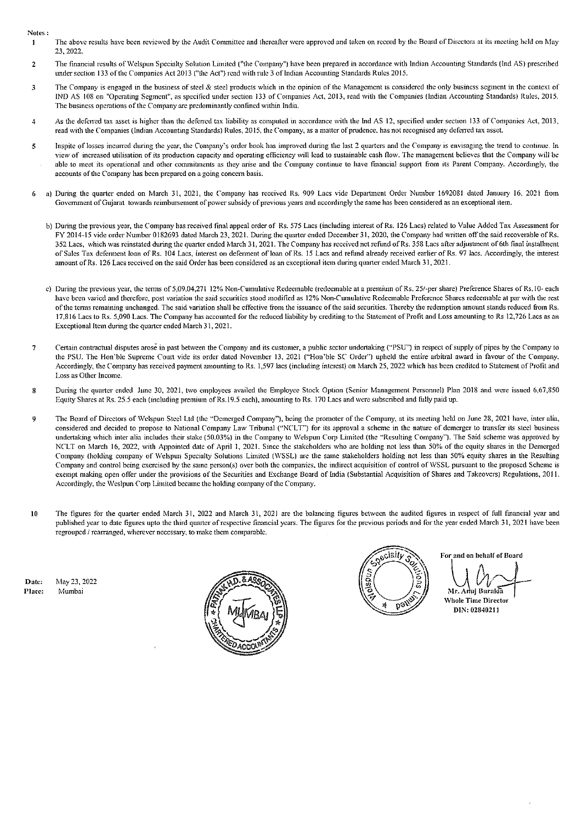Notes:

- The above results have been reviewed by the Audit Committee and thereafter were approved and taken on record by the Board of Directors at its meeting held on May  $\mathbf{I}$ 23,2022.
- 2 The financial results ofWclspun Specialty Solution Limited {"the Company") have been prepared in accordance with Indian Accounting Standards (lnd AS) prescribed under section 133 of the Companies Act 2013 ("the Act") read with rule 3 oflndian Accounting Standards Rules 2015.
- 3 The Company is engaged in the business of steel & steel products which in the opinion of the Management is considered the only business segment in the context of IND AS 108 on "Operating Segment", as specified under section 133 of Companies Act, 2013, read with the Companies (Indian Accounting Standards) Rules, 2015. The business operations of the Company are predominantly confined within India.
- 4 As the deferred tax asset is higher than the deferred tax liability as computed in accordance with the lnd AS 12, specified under section 133 of Companies Act, 2013. read with the Companies (Indian Accounting Standards) Rules, 2015, the Company, as a matter of prudence, has not recognised any deferred tax asset.
- 5 lnspite of losses incurred during the year, the Company's order book has improved during the last 2 quarters and the Company is envisaging the trend to continue. In view of increased utilisation of its production capacity and operating efficiency will lead to sustainable cash now. The management believes that the Company will be able to meet its operational and other commitments as they arise and the Company continue to have financial support from its Parent Company. Accordingly, the accounts of the Company has been prepared on a going concem basis.
- a) During the quarter ended on March 31, 2021, the Company has received Rs. 909 Lacs vide Department Order Number 1692081 dated January 16, 2021 from Govemment of Gujarat towards reimbursement of power subsidy of previous years and accordingly the same has been considered as an exceptional item.
	- b) During the previous year, the Company has received final appeal order of Rs. 575 Lacs (including interest ofRs. 126 Lacs) related to Value Added Tax Assessment for FY 2014-15 vide order Number 0182693 dated March 23, 2021. During the quarter ended December 31, 2020, the Company had written off the said recoverable of Rs. 352 Lacs, which was reinstated during the quarter ended March 31, 2021. The Company has received net refund of Rs. 358 Lacs after adjustment of 6th final installment of Sales Tax defennent loan of Rs. 104 Lacs, interest on defennent of loan of Rs. 15 Lacs and refund already received earlier of Rs. 97 lacs. Accordingly, the interest amount ofRs. 126 Lacs received on the said Order has been considered as an exceptional item during quarter ended March 31, 2021.
	- c) During the previous year, the terms of 5,09,04,271 12% Non-Cumulative Redeemable (redeemable at a premium of Rs. 25/-per share) Preference Shares of Rs.10- each have been varied and therefore, post variation the said securities stood modified as 12% Non-Cumulative Redeemable Preference Shares redeemable at par with the rest of the terms remaining unchanged. The said variation shall be effective from the issuance of the said securities. Thereby the redemption amount stands reduced from Rs. 17,816 Lacs to Rs. 5,090 Lacs. The Company has accounted for the reduced liability by crediting to the Statement of Profit and Loss amounting to Rs 12,726 Lacs as an Exceptional Item during the quarter ended March 31, 2021.
- 7 Certain contractual disputes arose in past between the Company and its customer, a public sector undertaking {''PSU") in respect of supply of pipes by the Company to the PSU. The Hon'ble Supreme Court vide its order dated November 13, 2021 ("Hon'ble SC Order") upheld the entire arbitml award in favour of the Company. Accordingly, the Company has received payment amounting to Rs. 1,597 lacs (including interest) on March 25, 2022 which has been credited to Statement of Profit and Loss as Other Income.
- 8 During the quarter ended June 30, 2021, two employees availed the Employee Stock Option (Senior Management Personnel) Plan 2018 and were issued 6,67,850 Equity Shares at Rs. 25.5 each (including premium of Rs.19.5 each), amounting to Rs. 170 Lacs and were subscribed and fully paid up.
- 9 The Board of Directors of Wclspun Steel Ltd (the "Demerged Company"), being the promoter of the Company, at its meeting held on June 28, 2021 have, inter alia, considered and decided to propose to National Company Law Tribunal ("NC'LT") for its approval a scheme in the nature of demerger to transfer its steel business undertaking which inter alia includes their stake (50.03%) in the Company to Welspun Corp Limited (the "Resulting Company"). The Said scheme was approved by NCLT on March 16, 2022, with Appointed date of April 1, 2021. Since the stakeholders who are holding not less than 50% of the equity shares in the Demerged Company (holding company of Welspun Specialty Solutions Limited (WSSL) are the same stakeholders holding not less than 50% equity shares in the Resulting Company and control being exercised by the same person(s) over both the companies, the indirect acquisition of control ofWSSL pursuant to the proposed Scheme is exempt making open offer under the provisions of the Securities and Exchange Board of India (Substantial Acquisition of Shares and Takeovers) Regulations, 2011. Accordingly, the Weslpun Corp Limited became the holding company of the Company.
- 10 The figures for the quarter ended March 31, 2022 and March 31, 2021 are the balancing figures between the audited figures in respect of full financial year and published year to date figures upto the third quarter of respective financial years. The figures for the previous periods and for the year ended March 31, 2021 have been regrouped / rearranged, wherever necessary, to make them comparable.

Date: Place: May 23,2022 l'vfumbai





For and on behalf of Board

Mr. Anuj Burakia<br>Whole Time Director

DIN: 02840211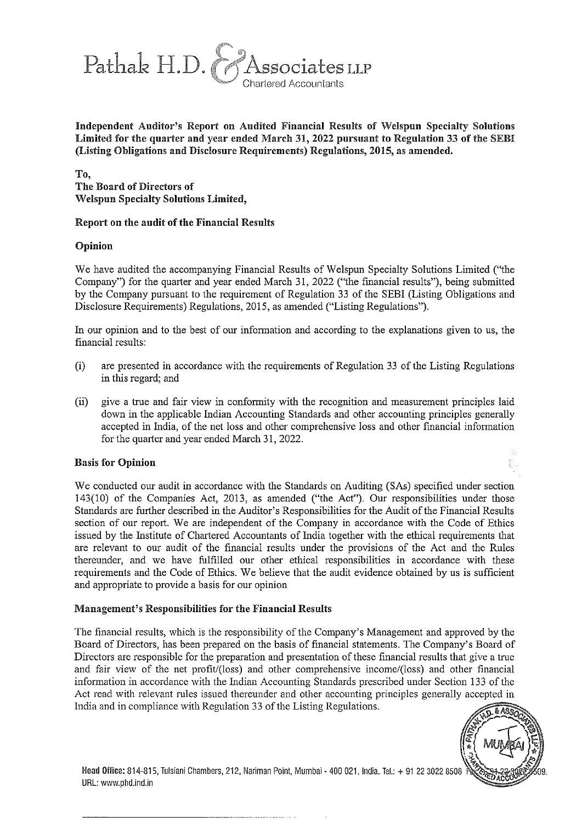

Independent Auditor's Report on Audited Financial Results of Welspun Specialty Solutions Limited for the quarter and year ended March 31, 2022 pursuant to Regulation 33 of the SEBI (Listing Obligations and Disclosure Requirements) Regulations, 2015, as amended.

To, The Board of Directors of Welspun Specialty Solutions Limited,

#### Report on the audit of the Financial Results

#### Opinion

We have audited the accompanying Financial Results of Welspun Specialty Solutions Limited ("the Company") for the quarter and year ended March 31, 2022 ("the fmancial results"), being submitted by the Company pursuant to the requirement of Regulation 33 of the SEBI (Listing Obligations and Disclosure Requirements) Regulations, 2015, as amended ("Listing Regulations").

1n our opinion and to the best of our information and according to the explanations given to us, the financial results:

- (i) are presented in accordance with the requirements of Regulation 33 of the Listing Regulations in this regard; and
- (ii) give a true and fair view in conformity with the recognition and measurement principles laid down in the applicable lndian Accounting Standards and other accounting principles generally accepted in lndia, of the net loss and other comprehensive loss and other fmancial information for the quarter and year ended March 31,2022.

#### Basis for Opinion

We conducted our audit in accordance with the Standards on Auditing (SAs) specified under section 143(10) of the Companies Act, 2013, as amended ("the Act"). Our responsibilities under those Standards are further described in the Auditor's Responsibilities for the Audit of the Financial Results section of our report. We are independent of the Company in accordance with the Code of Ethics issued by the lnstitute of Chartered Accountants of lndia together with the ethical requirements that are relevant to our audit of the financial results under the provisions of the Act and the Rules thereunder, and we have fulfilled our other ethical responsibilities in accordance with these requirements and the Code of Ethics. We believe that the audit evidence obtained by us is sufficient and appropriate to provide a basis for our opinion

#### Management's Responsibilities for the Financial Results

The financial results, which is the responsibility of the Company's Management and approved by the Board of Directors, has been prepared on the basis of financial statements. The Company's Board of Directors are responsible for the preparation and presentation of these financial results that give a true and fair view of the net profit/(loss) and other comprehensive income/(loss) and other financial information in accordance with the lndian Accounting Standards prescribed under Section 133 of the Act read with relevant rules issued thereunder and other accounting principles generally accepted in India and in compliance with Regulation 33 of the Listing Regulations.



Head Office: 814-815, Tulsiani Chambers, 212, Nariman Point, Mumbai - 400 021, India. Tel.: + 91 22 3022 8508 URL: www.phd.ind.in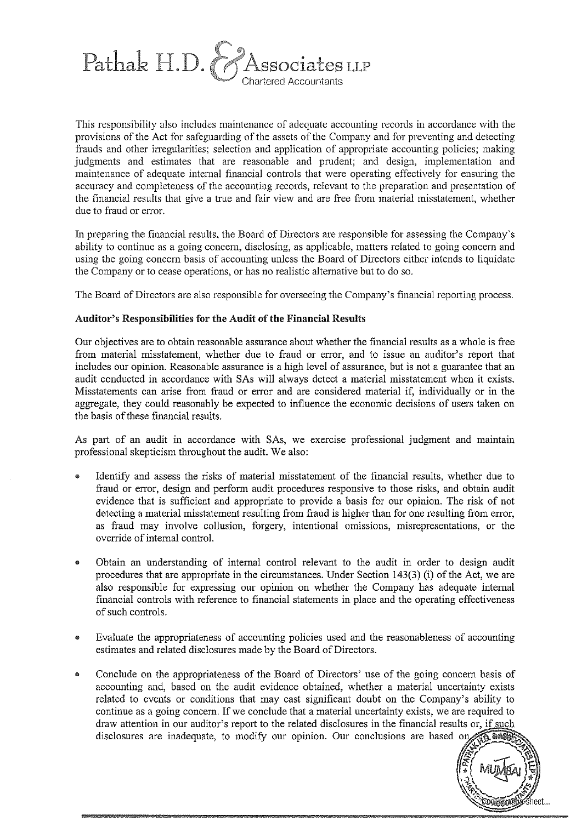

This responsibility also includes maintenance of adequate accounting records in accordance with the provisions of the Act for safeguarding of the assets of the Company and for preventing and detecting frauds and other irregularities; selection and application of appropriate accounting policies; making judgments and estimates that are reasonable and prudent; and design, implementation and maintenance of adequate intemal financial controls that were operating effectively for ensuring the accuracy and completeness of the accounting records, relevant to the preparation and presentation of the financial results that give a true and fair view and are free from material misstatement, whether due to fraud or error.

In preparing the financial results, the Board of Directors are responsible for assessing the Company's ability to continue as a going concem, disclosing, as applicable, matters related to going concem and using the going concem basis of accounting unless the Board of Directors either intends to liquidate the Company or to cease operations, or has no realistic alternative but to do so.

The Board of Directors are also responsible for overseeing the Company's financial reporting process.

#### Auditor's Responsibilities for the Audit of the Financial Results

Our objectives are to obtain reasonable assurance about whether the financial results as a whole is free from material misstatement, whether due to fraud or error, and to issue an auditor's report that includes our opinion. Reasonable assurance is a high level of assurance, but is not a guarantee that an audit conducted in accordance with SAs will always detect a material misstatement when it exists. Misstatements can arise from fraud or error and are considered material if, individually or in the aggregate, they could reasonably be expected to influence the economic decisions of users taken on the basis of these financial results.

As part of an audit in accordance with SAs, we exercise professional judgment and maintain professional skepticism throughout the audit. We also:

- Identify and assess the risks of material misstatement of the financial results, whether due to fraud or error, design and perform audit procedures responsive to those risks, and obtain audit evidence that is sufficient and appropriate to provide a basis for our opinion. The risk of not detecting a material misstatement resulting from fraud is higher than for one resulting from error, as fraud may involve collusion, forgery, intentional omissions, misrepresentations, or the override of intemal control.
- Obtain an understanding of intemal control relevant to the audit in order to design audit procedures that are appropriate in the circumstances. Under Section 143(3) (i) of the Act, we are also responsible for expressing our opinion on whether the Company has adequate intemal financial controls with reference to financial statements in place and the operating effectiveness of such controls.
- Evaluate the appropriateness of accounting policies used and the reasonableness of accounting estimates and related disclosures made by the Board of Directors .
- Conclude on the appropriateness of the Board of Directors' use of the going concern basis of • accounting and, based on the audit evidence obtained, whether a material uncertainty exists related to events or conditions that may cast significant doubt on the Company's ability to continue as a going concern. If we conclude that a material uncertainty exists, we are required to draw attention in our auditor's report to the related disclosures in the financial results or, if such disclosures are inadequate, to modify our opinion. Our conclusions are based on,

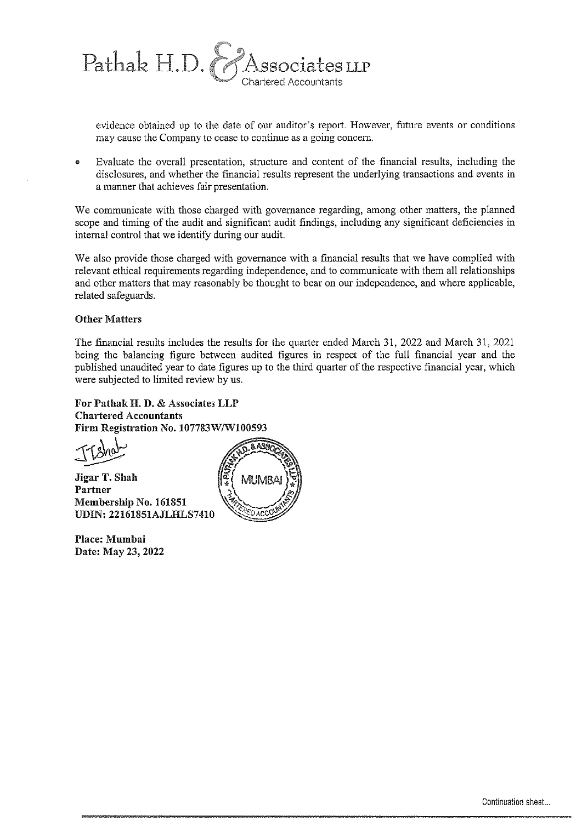

evidence obtained up to the date of our auditor's report. However, future events or conditions may cause the Company to cease to continue as a going concern.

• Evaluate the overall presentation, structure and content of the fmancial results, including the disclosures, and whether the financial results represent the underlying transactions and events in a manner that achieves fair presentation.

We communicate with those charged with governance regarding, among other matters, the planned scope and timing of the audit and significant audit findings, including any significant deficiencies in internal control that we identify during our audit.

We also provide those charged with governance with a financial results that we have complied with relevant ethical requirements regarding independence, and to communicate with them all relationships and other matters that may reasonably be thought to bear on our independence, and where applicable, related safeguards.

#### Other Matters

The fmancial results includes the results for the quarter ended March 31, 2022 and March 31, 2021 being the balancing figure between audited figures in respect of the full financial year and the published unaudited year to date figures up to the third quarter of the respective financial year, which were subjected to limited review by us.

For Pathak H. D. & Associates LLP Chartered Accountants

Partner Membership No. 161851 UDIN: 22161851AJLHLS7410

Place: Mumbai Date: May 23, 2022

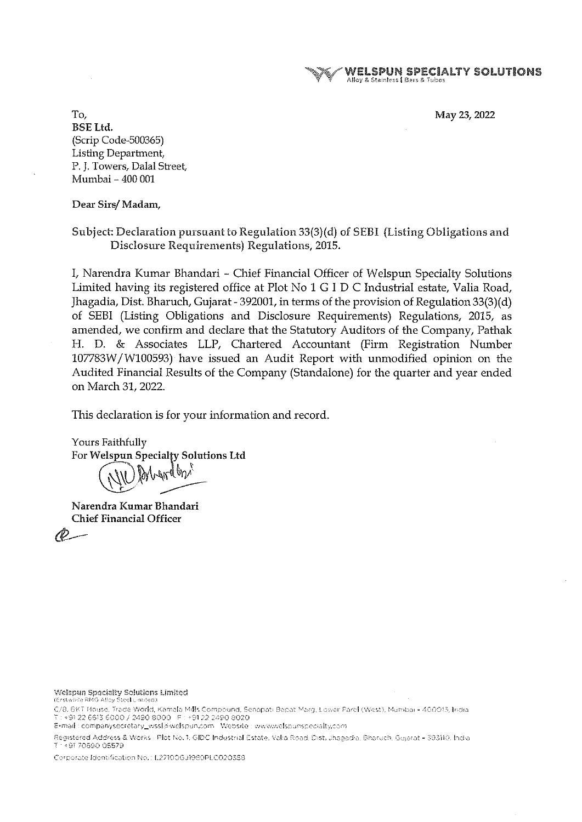WEI.SPUN SPECIAlTY SOLUTIONS Alloy & Stainless | Bars & Tubes

May 23,2022

To, BSELtd. (Scrip Code-500365) Listing Department, P. J. Towers, Dalal Street, Mumbai- 400 001

Dear Sirs/ Madam,

Subject: Declaration pursuant to Regulation 33(3)(d) of SEBI (Listing Obligations and Disclosure Requirements) Regulations, 2015.

I, Narendra Kumar Bhandari- Chief Financial Officer of Welspun Specialty Solutions Limited having its registered office at Plot No 1 G I D C Industrial estate, Valia Road, Jhagadia, Dist. Bharuch, Gujarat- 392001, in terms of the provision of Regulation 33(3)( d) of SEBI (Listing Obligations and Disclosure Requirements) Regulations, 2015, as amended, we confirm and declare that the Statutory Auditors of the Company, Pathak H. D. & Associates LLP, Chartered Accountant (Firm Registration Number 107783W /W100593) have issued an Audit Report with unmodified opinion on the Audited Financial Results of the Company (Standalone) for the quarter and year ended on March 31, 2022.

This declaration is for your information and record.

Yours Faithfully For Welspun Specialty Solutions Ltd

Narendra Kumar Bhandari Chief Financial Officer

P-

**Welspun Specialty Solutions Limited**<br>(Erstwhile RMG Alley Steel Limited)

C/8, BKT House, Trade World, Kamala Mills Compound, Senapati Bapat Marg, Lower Parel (West), Mumbai - 400013, India T : +91 22 6613 6000 / 2490 8000 F : +91 22 2490 8020

E-mail: companysecretary\_wssl@welspun.com Website : www.welspunspecialty.com

Registered Address & Works - Plot No. 1, GIDC Industrial Estate, Valia Road, Dist. Jhagadia, Bharuch, Gujarat - 393110. India T ~ 91 70690 05579

Corporate Identification No.: L27100GJ1980PLC020358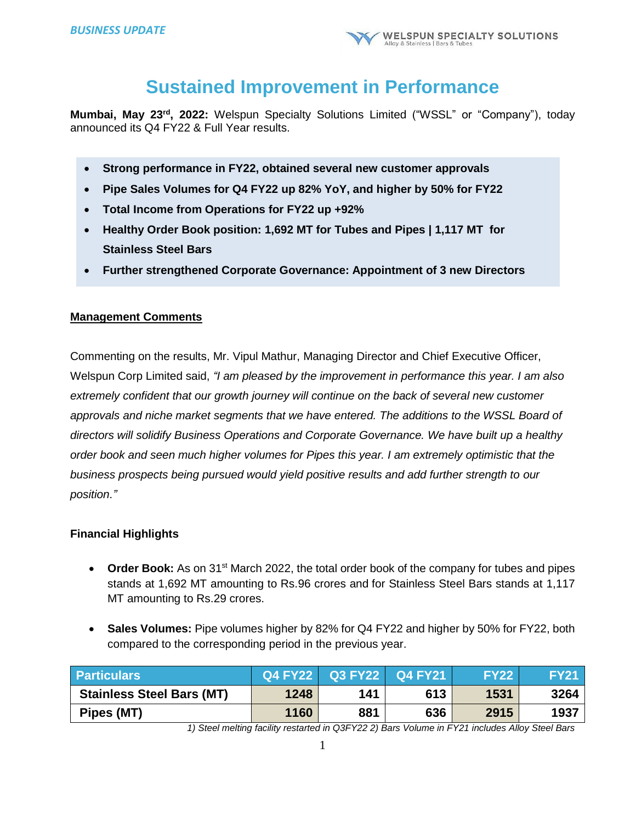# **Sustained Improvement in Performance**

**Mumbai, May 23rd , 2022:** Welspun Specialty Solutions Limited ("WSSL" or "Company"), today announced its Q4 FY22 & Full Year results.

- **Strong performance in FY22, obtained several new customer approvals**
- **Pipe Sales Volumes for Q4 FY22 up 82% YoY, and higher by 50% for FY22**
- **Total Income from Operations for FY22 up +92%**
- **Healthy Order Book position: 1,692 MT for Tubes and Pipes | 1,117 MT for Stainless Steel Bars**
- **Further strengthened Corporate Governance: Appointment of 3 new Directors**

# **Management Comments**

Commenting on the results, Mr. Vipul Mathur, Managing Director and Chief Executive Officer, Welspun Corp Limited said, *"I am pleased by the improvement in performance this year. I am also extremely confident that our growth journey will continue on the back of several new customer approvals and niche market segments that we have entered. The additions to the WSSL Board of directors will solidify Business Operations and Corporate Governance. We have built up a healthy order book and seen much higher volumes for Pipes this year. I am extremely optimistic that the business prospects being pursued would yield positive results and add further strength to our position."*

# **Financial Highlights**

- Order Book: As on 31<sup>st</sup> March 2022, the total order book of the company for tubes and pipes stands at 1,692 MT amounting to Rs.96 crores and for Stainless Steel Bars stands at 1,117 MT amounting to Rs.29 crores.
- **Sales Volumes:** Pipe volumes higher by 82% for Q4 FY22 and higher by 50% for FY22, both compared to the corresponding period in the previous year.

| <b>Particulars</b>               |      |     | Q4 FY22 Q3 FY22 Q4 FY21 | <b>FY22</b> | <b>FY21</b> |
|----------------------------------|------|-----|-------------------------|-------------|-------------|
| <b>Stainless Steel Bars (MT)</b> | 1248 | 141 | 613                     | 1531        | 3264        |
| Pipes (MT)                       | 1160 | 881 | 636                     | 2915        | 1937        |

*1) Steel melting facility restarted in Q3FY22 2) Bars Volume in FY21 includes Alloy Steel Bars*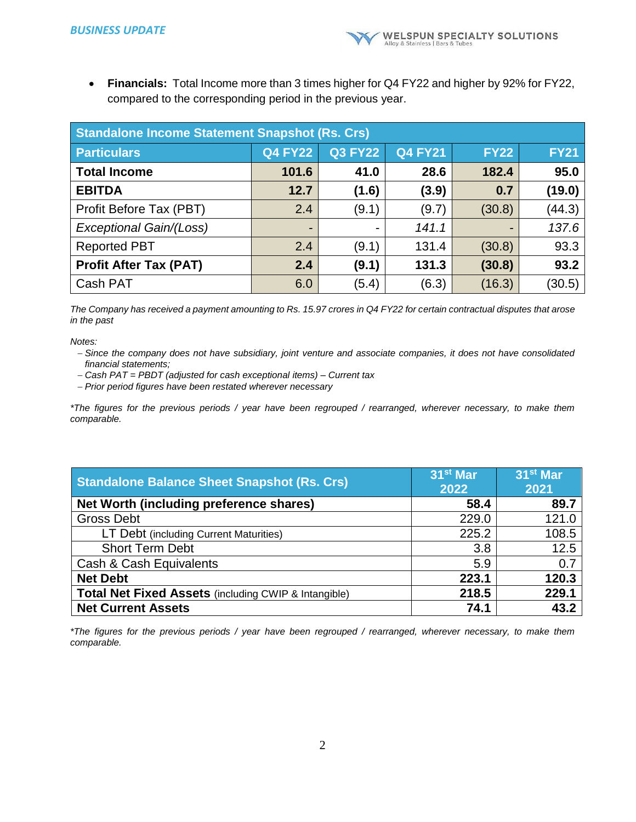**Financials:** Total Income more than 3 times higher for Q4 FY22 and higher by 92% for FY22, compared to the corresponding period in the previous year.

| <b>Standalone Income Statement Snapshot (Rs. Crs)</b> |                |                |                |             |             |  |
|-------------------------------------------------------|----------------|----------------|----------------|-------------|-------------|--|
| <b>Particulars</b>                                    | <b>Q4 FY22</b> | <b>Q3 FY22</b> | <b>Q4 FY21</b> | <b>FY22</b> | <b>FY21</b> |  |
| <b>Total Income</b>                                   | 101.6          | 41.0           | 28.6           | 182.4       | 95.0        |  |
| <b>EBITDA</b>                                         | 12.7           | (1.6)          | (3.9)          | 0.7         | (19.0)      |  |
| Profit Before Tax (PBT)                               | 2.4            | (9.1)          | (9.7)          | (30.8)      | (44.3)      |  |
| Exceptional Gain/(Loss)                               | -              |                | 141.1          | -           | 137.6       |  |
| <b>Reported PBT</b>                                   | 2.4            | (9.1)          | 131.4          | (30.8)      | 93.3        |  |
| <b>Profit After Tax (PAT)</b>                         | 2.4            | (9.1)          | 131.3          | (30.8)      | 93.2        |  |
| Cash PAT                                              | 6.0            | (5.4)          | (6.3)          | (16.3)      | (30.5)      |  |

*The Company has received a payment amounting to Rs. 15.97 crores in Q4 FY22 for certain contractual disputes that arose in the past*

*Notes:*

- *Since the company does not have subsidiary, joint venture and associate companies, it does not have consolidated financial statements;*
- *Cash PAT = PBDT (adjusted for cash exceptional items) – Current tax*
- *Prior period figures have been restated wherever necessary*

*\*The figures for the previous periods / year have been regrouped / rearranged, wherever necessary, to make them comparable.*

| <b>Standalone Balance Sheet Snapshot (Rs. Crs)</b>   | 31 <sup>st</sup> Mar<br>2022 | 31 <sup>st</sup> Mar<br>2021 |
|------------------------------------------------------|------------------------------|------------------------------|
| Net Worth (including preference shares)              | 58.4                         | 89.7                         |
| <b>Gross Debt</b>                                    | 229.0                        | 121.0                        |
| LT Debt (including Current Maturities)               | 225.2                        | 108.5                        |
| <b>Short Term Debt</b>                               | 3.8                          | 12.5                         |
| Cash & Cash Equivalents                              | 5.9                          | 0.7                          |
| <b>Net Debt</b>                                      | 223.1                        | 120.3                        |
| Total Net Fixed Assets (including CWIP & Intangible) | 218.5                        | 229.1                        |
| <b>Net Current Assets</b>                            | 74.1                         | 43.2                         |

*\*The figures for the previous periods / year have been regrouped / rearranged, wherever necessary, to make them comparable.*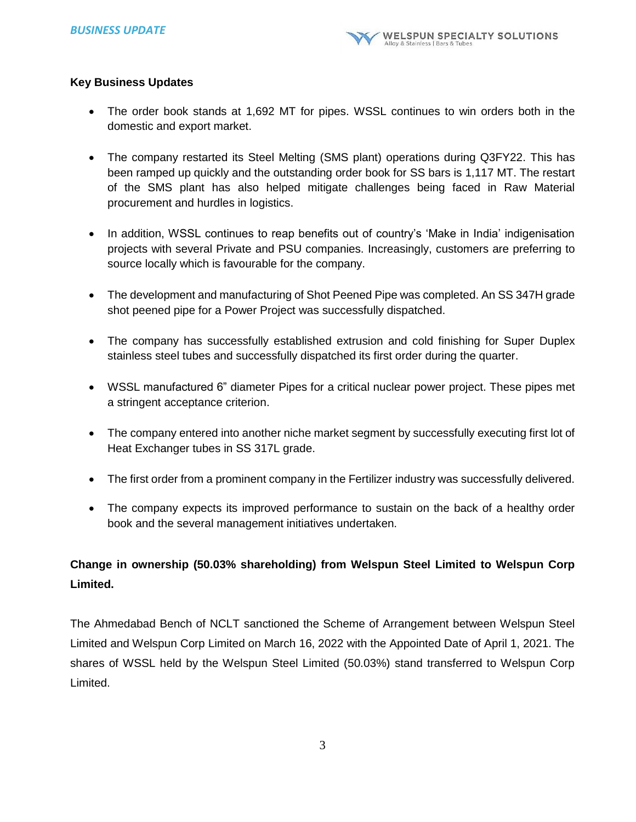# **Key Business Updates**

- The order book stands at 1,692 MT for pipes. WSSL continues to win orders both in the domestic and export market.
- The company restarted its Steel Melting (SMS plant) operations during Q3FY22. This has been ramped up quickly and the outstanding order book for SS bars is 1,117 MT. The restart of the SMS plant has also helped mitigate challenges being faced in Raw Material procurement and hurdles in logistics.
- In addition, WSSL continues to reap benefits out of country's 'Make in India' indigenisation projects with several Private and PSU companies. Increasingly, customers are preferring to source locally which is favourable for the company.
- The development and manufacturing of Shot Peened Pipe was completed. An SS 347H grade shot peened pipe for a Power Project was successfully dispatched.
- The company has successfully established extrusion and cold finishing for Super Duplex stainless steel tubes and successfully dispatched its first order during the quarter.
- WSSL manufactured 6" diameter Pipes for a critical nuclear power project. These pipes met a stringent acceptance criterion.
- The company entered into another niche market segment by successfully executing first lot of Heat Exchanger tubes in SS 317L grade.
- The first order from a prominent company in the Fertilizer industry was successfully delivered.
- The company expects its improved performance to sustain on the back of a healthy order book and the several management initiatives undertaken.

# **Change in ownership (50.03% shareholding) from Welspun Steel Limited to Welspun Corp Limited.**

The Ahmedabad Bench of NCLT sanctioned the Scheme of Arrangement between Welspun Steel Limited and Welspun Corp Limited on March 16, 2022 with the Appointed Date of April 1, 2021. The shares of WSSL held by the Welspun Steel Limited (50.03%) stand transferred to Welspun Corp Limited.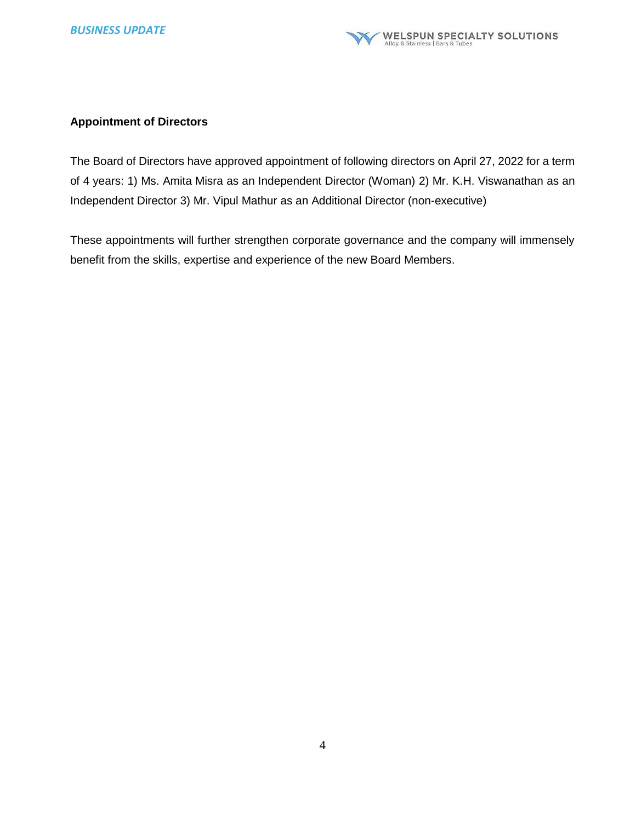# **Appointment of Directors**

The Board of Directors have approved appointment of following directors on April 27, 2022 for a term of 4 years: 1) Ms. Amita Misra as an Independent Director (Woman) 2) Mr. K.H. Viswanathan as an Independent Director 3) Mr. Vipul Mathur as an Additional Director (non-executive)

These appointments will further strengthen corporate governance and the company will immensely benefit from the skills, expertise and experience of the new Board Members.